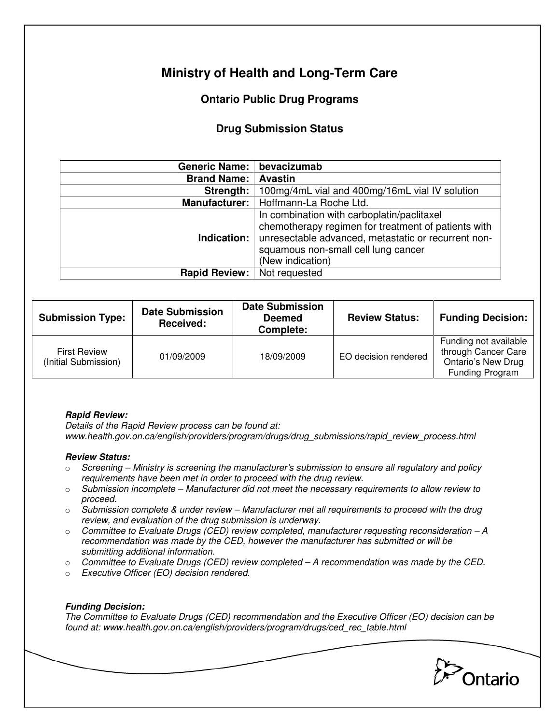# **Ministry of Health and Long-Term Care**

## **Ontario Public Drug Programs**

### **Drug Submission Status**

| Generic Name:                      | bevacizumab                                                                                                                                                                                                         |  |  |
|------------------------------------|---------------------------------------------------------------------------------------------------------------------------------------------------------------------------------------------------------------------|--|--|
| <b>Brand Name:</b>                 | <b>Avastin</b>                                                                                                                                                                                                      |  |  |
| Strength:                          | 100mg/4mL vial and 400mg/16mL vial IV solution                                                                                                                                                                      |  |  |
|                                    | Manufacturer:   Hoffmann-La Roche Ltd.                                                                                                                                                                              |  |  |
| Indication:                        | In combination with carboplatin/paclitaxel<br>chemotherapy regimen for treatment of patients with<br>unresectable advanced, metastatic or recurrent non-<br>squamous non-small cell lung cancer<br>(New indication) |  |  |
| <b>Rapid Review:</b> Not requested |                                                                                                                                                                                                                     |  |  |

| <b>Submission Type:</b>                     | <b>Date Submission</b><br>Received: | <b>Date Submission</b><br><b>Deemed</b><br>Complete: | <b>Review Status:</b> | <b>Funding Decision:</b>                                                                     |
|---------------------------------------------|-------------------------------------|------------------------------------------------------|-----------------------|----------------------------------------------------------------------------------------------|
| <b>First Review</b><br>(Initial Submission) | 01/09/2009                          | 18/09/2009                                           | EO decision rendered  | Funding not available<br>through Cancer Care<br><b>Ontario's New Drug</b><br>Funding Program |

#### **Rapid Review:**

Details of the Rapid Review process can be found at: www.health.gov.on.ca/english/providers/program/drugs/drug\_submissions/rapid\_review\_process.html

#### **Review Status:**

- $\circ$  Screening Ministry is screening the manufacturer's submission to ensure all regulatory and policy requirements have been met in order to proceed with the drug review.
- $\circ$  Submission incomplete Manufacturer did not meet the necessary requirements to allow review to proceed.
- $\circ$  Submission complete & under review Manufacturer met all requirements to proceed with the drug review, and evaluation of the drug submission is underway.
- $\circ$  Committee to Evaluate Drugs (CED) review completed, manufacturer requesting reconsideration  $-A$ recommendation was made by the CED, however the manufacturer has submitted or will be submitting additional information.
- $\circ$  Committee to Evaluate Drugs (CED) review completed  $-A$  recommendation was made by the CED.
- o Executive Officer (EO) decision rendered.

### **Funding Decision:**

The Committee to Evaluate Drugs (CED) recommendation and the Executive Officer (EO) decision can be found at: www.health.gov.on.ca/english/providers/program/drugs/ced\_rec\_table.html